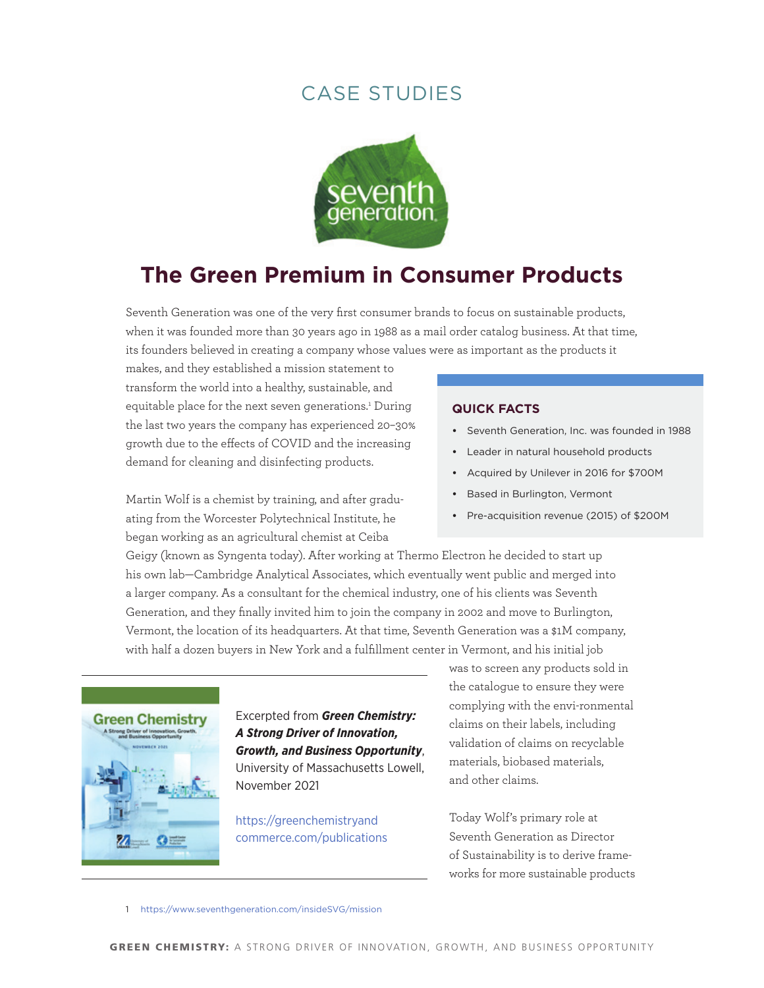

# **The Green Premium in Consumer Products**

Seventh Generation was one of the very first consumer brands to focus on sustainable products, when it was founded more than 30 years ago in 1988 as a mail order catalog business. At that time, its founders believed in creating a company whose values were as important as the products it

makes, and they established a mission statement to transform the world into a healthy, sustainable, and equitable place for the next seven generations.<sup>1</sup> During the last two years the company has experienced 20–30% growth due to the effects of COVID and the increasing demand for cleaning and disinfecting products.

Martin Wolf is a chemist by training, and after graduating from the Worcester Polytechnical Institute, he began working as an agricultural chemist at Ceiba

#### **quick Facts**

- **•**  Seventh Generation, Inc. was founded in 1988
- **•**  Leader in natural household products
- **•**  Acquired by Unilever in 2016 for \$700M
- **Based in Burlington, Vermont**
- **•**  Pre-acquisition revenue (2015) of \$200M

Geigy (known as Syngenta today). After working at Thermo Electron he decided to start up his own lab—Cambridge Analytical Associates, which eventually went public and merged into a larger company. As a consultant for the chemical industry, one of his clients was Seventh Generation, and they finally invited him to join the company in 2002 and move to Burlington, Vermont, the location of its headquarters. At that time, Seventh Generation was a \$1M company, with half a dozen buyers in New York and a fulfillment center in Vermont, and his initial job



Excerpted from *Green Chemistry: A Strong Driver of Innovation, Growth, and Business Opportunity*, University of Massachusetts Lowell, November 2021

[https://greenchemistryand](https://greenchemistryandcommerce.com/publications) [commerce.com/publications](https://greenchemistryandcommerce.com/publications) was to screen any products sold in the catalogue to ensure they were complying with the envi-ronmental claims on their labels, including validation of claims on recyclable materials, biobased materials, and other claims.

Today Wolf's primary role at Seventh Generation as Director of Sustainability is to derive frameworks for more sustainable products

1 <https://www.seventhgeneration.com/insideSVG/mission>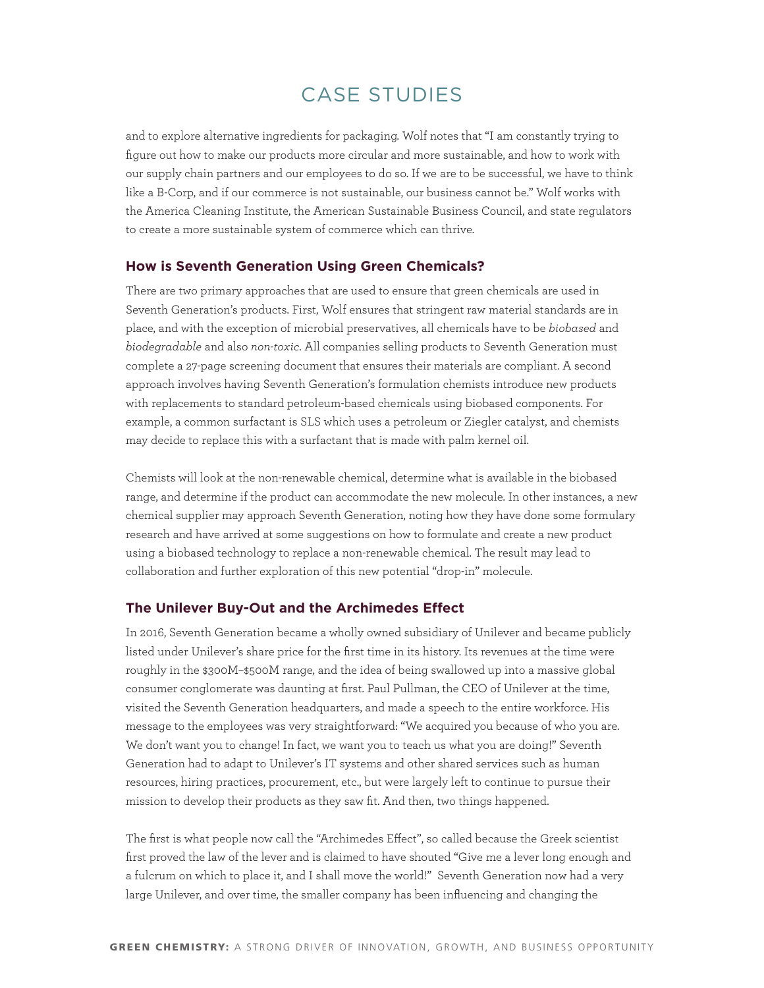and to explore alternative ingredients for packaging. Wolf notes that "I am constantly trying to figure out how to make our products more circular and more sustainable, and how to work with our supply chain partners and our employees to do so. If we are to be successful, we have to think like a B-Corp, and if our commerce is not sustainable, our business cannot be." Wolf works with the America Cleaning Institute, the American Sustainable Business Council, and state regulators to create a more sustainable system of commerce which can thrive.

### **How is Seventh Generation Using Green Chemicals?**

There are two primary approaches that are used to ensure that green chemicals are used in Seventh Generation's products. First, Wolf ensures that stringent raw material standards are in place, and with the exception of microbial preservatives, all chemicals have to be *biobased* and *biodegradable* and also *non-toxic*. All companies selling products to Seventh Generation must complete a 27-page screening document that ensures their materials are compliant. A second approach involves having Seventh Generation's formulation chemists introduce new products with replacements to standard petroleum-based chemicals using biobased components. For example, a common surfactant is SLS which uses a petroleum or Ziegler catalyst, and chemists may decide to replace this with a surfactant that is made with palm kernel oil.

Chemists will look at the non-renewable chemical, determine what is available in the biobased range, and determine if the product can accommodate the new molecule. In other instances, a new chemical supplier may approach Seventh Generation, noting how they have done some formulary research and have arrived at some suggestions on how to formulate and create a new product using a biobased technology to replace a non-renewable chemical. The result may lead to collaboration and further exploration of this new potential "drop-in" molecule.

#### **The Unilever Buy-Out and the Archimedes Effect**

In 2016, Seventh Generation became a wholly owned subsidiary of Unilever and became publicly listed under Unilever's share price for the first time in its history. Its revenues at the time were roughly in the \$300M–\$500M range, and the idea of being swallowed up into a massive global consumer conglomerate was daunting at first. Paul Pullman, the CEO of Unilever at the time, visited the Seventh Generation headquarters, and made a speech to the entire workforce. His message to the employees was very straightforward: "We acquired you because of who you are. We don't want you to change! In fact, we want you to teach us what you are doing!" Seventh Generation had to adapt to Unilever's IT systems and other shared services such as human resources, hiring practices, procurement, etc., but were largely left to continue to pursue their mission to develop their products as they saw fit. And then, two things happened.

The first is what people now call the "Archimedes Effect", so called because the Greek scientist first proved the law of the lever and is claimed to have shouted "Give me a lever long enough and a fulcrum on which to place it, and I shall move the world!" Seventh Generation now had a very large Unilever, and over time, the smaller company has been influencing and changing the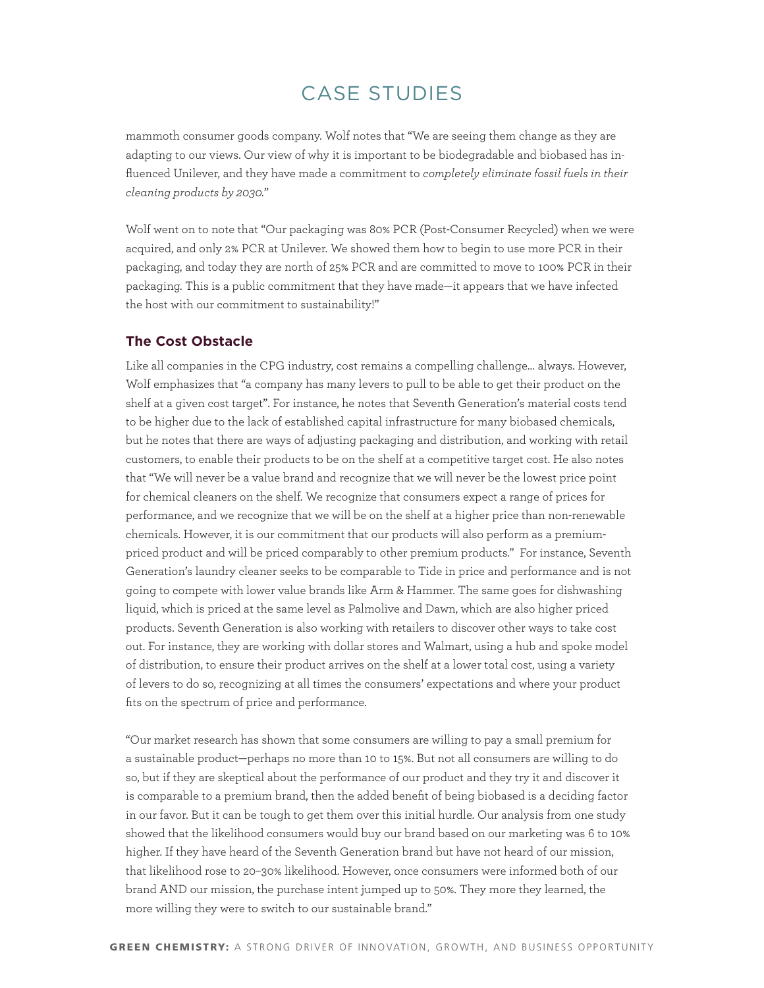mammoth consumer goods company. Wolf notes that "We are seeing them change as they are adapting to our views. Our view of why it is important to be biodegradable and biobased has influenced Unilever, and they have made a commitment to *[completely eliminate fossil fuels in their](https://www.unilever.com/news/press-releases/2020/unilever-to-invest-1-billion-to-eliminate-fossil-fuels-in-cleaning-products-by-2030.html)  [cleaning products by 2030.](https://www.unilever.com/news/press-releases/2020/unilever-to-invest-1-billion-to-eliminate-fossil-fuels-in-cleaning-products-by-2030.html)*"

Wolf went on to note that "Our packaging was 80% PCR (Post-Consumer Recycled) when we were acquired, and only 2% PCR at Unilever. We showed them how to begin to use more PCR in their packaging, and today they are north of 25% PCR and are committed to move to 100% PCR in their packaging. This is a public commitment that they have made—it appears that we have infected the host with our commitment to sustainability!"

### **The Cost Obstacle**

Like all companies in the CPG industry, cost remains a compelling challenge… always. However, Wolf emphasizes that "a company has many levers to pull to be able to get their product on the shelf at a given cost target". For instance, he notes that Seventh Generation's material costs tend to be higher due to the lack of established capital infrastructure for many biobased chemicals, but he notes that there are ways of adjusting packaging and distribution, and working with retail customers, to enable their products to be on the shelf at a competitive target cost. He also notes that "We will never be a value brand and recognize that we will never be the lowest price point for chemical cleaners on the shelf. We recognize that consumers expect a range of prices for performance, and we recognize that we will be on the shelf at a higher price than non-renewable chemicals. However, it is our commitment that our products will also perform as a premiumpriced product and will be priced comparably to other premium products." For instance, Seventh Generation's laundry cleaner seeks to be comparable to Tide in price and performance and is not going to compete with lower value brands like Arm & Hammer. The same goes for dishwashing liquid, which is priced at the same level as Palmolive and Dawn, which are also higher priced products. Seventh Generation is also working with retailers to discover other ways to take cost out. For instance, they are working with dollar stores and Walmart, using a hub and spoke model of distribution, to ensure their product arrives on the shelf at a lower total cost, using a variety of levers to do so, recognizing at all times the consumers' expectations and where your product fits on the spectrum of price and performance.

"Our market research has shown that some consumers are willing to pay a small premium for a sustainable product—perhaps no more than 10 to 15%. But not all consumers are willing to do so, but if they are skeptical about the performance of our product and they try it and discover it is comparable to a premium brand, then the added benefit of being biobased is a deciding factor in our favor. But it can be tough to get them over this initial hurdle. Our analysis from one study showed that the likelihood consumers would buy our brand based on our marketing was 6 to 10% higher. If they have heard of the Seventh Generation brand but have not heard of our mission, that likelihood rose to 20–30% likelihood. However, once consumers were informed both of our brand AND our mission, the purchase intent jumped up to 50%. They more they learned, the more willing they were to switch to our sustainable brand."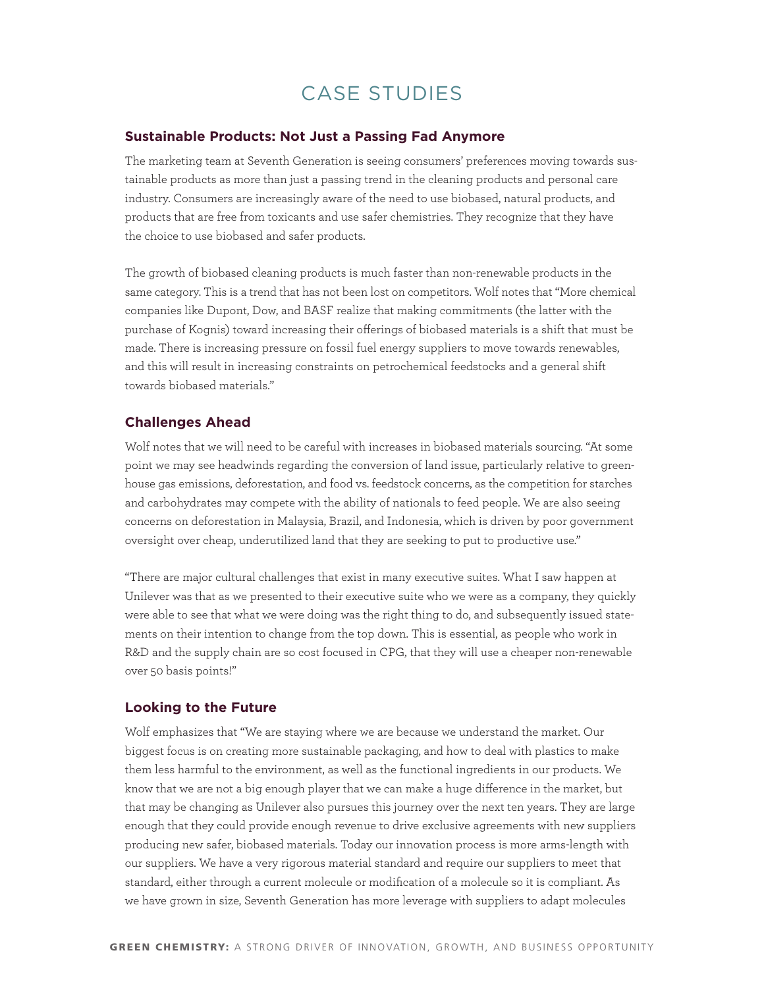#### **Sustainable Products: Not Just a Passing Fad Anymore**

The marketing team at Seventh Generation is seeing consumers' preferences moving towards sustainable products as more than just a passing trend in the cleaning products and personal care industry. Consumers are increasingly aware of the need to use biobased, natural products, and products that are free from toxicants and use safer chemistries. They recognize that they have the choice to use biobased and safer products.

The growth of biobased cleaning products is much faster than non-renewable products in the same category. This is a trend that has not been lost on competitors. Wolf notes that "More chemical companies like Dupont, Dow, and BASF realize that making commitments (the latter with the purchase of Kognis) toward increasing their offerings of biobased materials is a shift that must be made. There is increasing pressure on fossil fuel energy suppliers to move towards renewables, and this will result in increasing constraints on petrochemical feedstocks and a general shift towards biobased materials."

### **Challenges Ahead**

Wolf notes that we will need to be careful with increases in biobased materials sourcing. "At some point we may see headwinds regarding the conversion of land issue, particularly relative to greenhouse gas emissions, deforestation, and food vs. feedstock concerns, as the competition for starches and carbohydrates may compete with the ability of nationals to feed people. We are also seeing concerns on deforestation in Malaysia, Brazil, and Indonesia, which is driven by poor government oversight over cheap, underutilized land that they are seeking to put to productive use."

"There are major cultural challenges that exist in many executive suites. What I saw happen at Unilever was that as we presented to their executive suite who we were as a company, they quickly were able to see that what we were doing was the right thing to do, and subsequently issued statements on their intention to change from the top down. This is essential, as people who work in R&D and the supply chain are so cost focused in CPG, that they will use a cheaper non-renewable over 50 basis points!"

### **Looking to the Future**

Wolf emphasizes that "We are staying where we are because we understand the market. Our biggest focus is on creating more sustainable packaging, and how to deal with plastics to make them less harmful to the environment, as well as the functional ingredients in our products. We know that we are not a big enough player that we can make a huge difference in the market, but that may be changing as Unilever also pursues this journey over the next ten years. They are large enough that they could provide enough revenue to drive exclusive agreements with new suppliers producing new safer, biobased materials. Today our innovation process is more arms-length with our suppliers. We have a very rigorous material standard and require our suppliers to meet that standard, either through a current molecule or modification of a molecule so it is compliant. As we have grown in size, Seventh Generation has more leverage with suppliers to adapt molecules